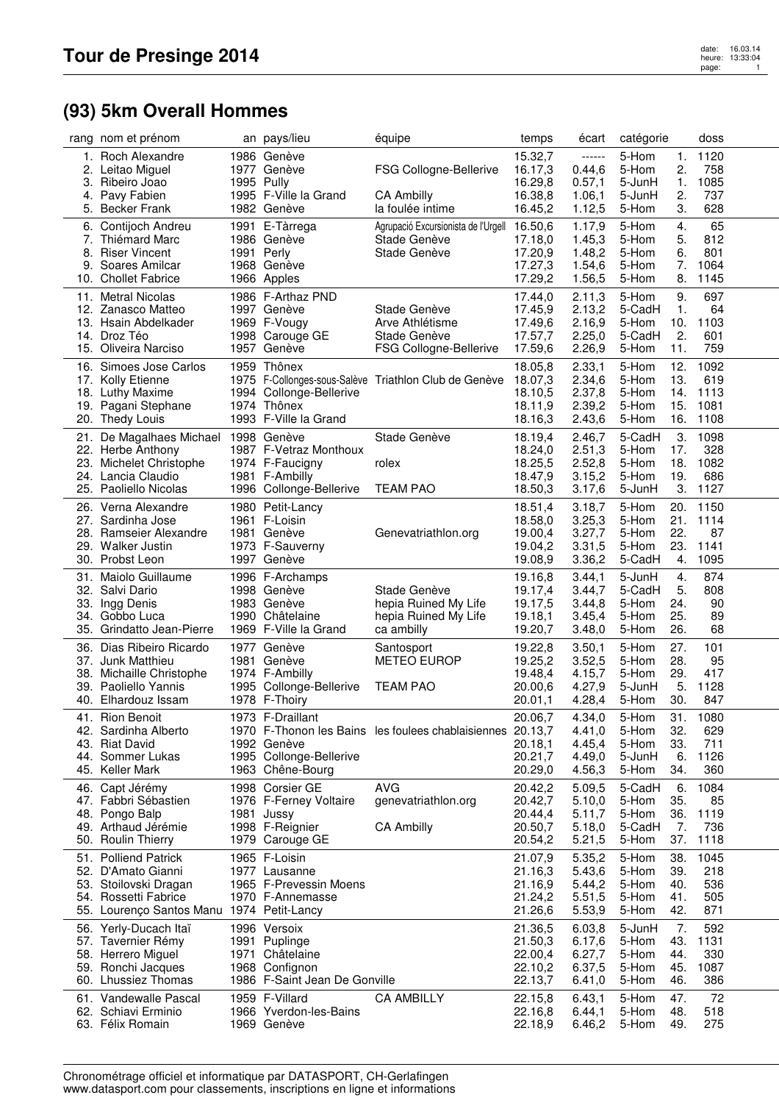## **(93) 5km Overall Hommes**

|     | rang nom et prénom                                                                                                                       |            | an pays/lieu                                                                                        | équipe                                                                                          | temps                                               | écart                                                    | catégorie                                                                              | doss                                    |
|-----|------------------------------------------------------------------------------------------------------------------------------------------|------------|-----------------------------------------------------------------------------------------------------|-------------------------------------------------------------------------------------------------|-----------------------------------------------------|----------------------------------------------------------|----------------------------------------------------------------------------------------|-----------------------------------------|
| 2.  | 1. Roch Alexandre<br>Leitao Miguel<br>3. Ribeiro Joao<br>4. Pavy Fabien                                                                  | 1995 Pully | 1986 Genève<br>1977 Genève<br>1995 F-Ville la Grand                                                 | FSG Collogne-Bellerive<br><b>CA Ambilly</b>                                                     | 15.32,7<br>16.17,3<br>16.29,8<br>16.38,8            | ------<br>0.44, 6<br>0.57,1<br>1.06,1                    | 5-Hom<br>1.<br>2.<br>5-Hom<br>5-JunH<br>1.<br>2.<br>5-JunH                             | 1120<br>758<br>1085<br>737              |
|     | 5. Becker Frank<br>6. Contijoch Andreu<br>7. Thiémard Marc<br>8. Riser Vincent<br>9. Soares Amilcar<br>10. Chollet Fabrice               | 1991 Perly | 1982 Genève<br>1991 E-Tàrrega<br>1986 Genève<br>1968 Genève<br>1966 Apples                          | la foulée intime<br>Agrupació Excursionista de l'Urgell 16.50,6<br>Stade Genève<br>Stade Genève | 16.45,2<br>17.18,0<br>17.20,9<br>17.27,3<br>17.29,2 | 1.12,5<br>1.17,9<br>1.45,3<br>1.48,2<br>1.54,6<br>1.56,5 | 3.<br>5-Hom<br>5-Hom<br>4.<br>5-Hom<br>5.<br>5-Hom<br>6.<br>7.<br>5-Hom<br>8.<br>5-Hom | 628<br>65<br>812<br>801<br>1064<br>1145 |
|     | 11. Metral Nicolas<br>12. Zanasco Matteo<br>13. Hsain Abdelkader<br>14. Droz Téo<br>15. Oliveira Narciso                                 |            | 1986 F-Arthaz PND<br>1997 Genève<br>1969 F-Vougy<br>1998 Carouge GE<br>1957 Genève                  | Stade Genève<br>Arve Athlétisme<br>Stade Genève<br>FSG Collogne-Bellerive                       | 17.44,0<br>17.45,9<br>17.49,6<br>17.57,7<br>17.59,6 | 2.11,3<br>2.13,2<br>2.16,9<br>2.25,0<br>2.26,9           | 5-Hom<br>9.<br>5-CadH<br>1.<br>10.<br>5-Hom<br>5-CadH<br>2.<br>5-Hom<br>11.            | 697<br>64<br>1103<br>601<br>759         |
|     | 16. Simoes Jose Carlos<br>17. Kolly Etienne<br>18. Luthy Maxime<br>19. Pagani Stephane<br>20. Thedy Louis                                |            | 1959 Thônex<br>1994 Collonge-Bellerive<br>1974 Thônex<br>1993 F-Ville la Grand                      | 1975 F-Collonges-sous-Salève Triathlon Club de Genève                                           | 18.05,8<br>18.07,3<br>18.10,5<br>18.11,9<br>18.16,3 | 2.33,1<br>2.34,6<br>2.37,8<br>2.39,2<br>2.43,6           | 5-Hom<br>12.<br>5-Hom<br>13.<br>5-Hom<br>14.<br>15.<br>5-Hom<br>16.<br>5-Hom           | 1092<br>619<br>1113<br>1081<br>1108     |
|     | 21. De Magalhaes Michael 1998 Genève<br>22. Herbe Anthony<br>23. Michelet Christophe<br>24. Lancia Claudio<br>25. Paoliello Nicolas      |            | 1987 F-Vetraz Monthoux<br>1974 F-Faucigny<br>1981 F-Ambilly<br>1996 Collonge-Bellerive              | Stade Genève<br>rolex<br><b>TEAM PAO</b>                                                        | 18.19,4<br>18.24,0<br>18.25,5<br>18.47,9<br>18.50,3 | 2.46,7<br>2.51,3<br>2.52,8<br>3.15,2<br>3.17,6           | 5-CadH<br>3.<br>5-Hom<br>17.<br>5-Hom<br>18.<br>19.<br>5-Hom<br>3.<br>5-JunH           | 1098<br>328<br>1082<br>686<br>1127      |
|     | 26. Verna Alexandre<br>27. Sardinha Jose<br>28. Ramseier Alexandre<br>29. Walker Justin<br>30. Probst Leon                               |            | 1980 Petit-Lancy<br>1961 F-Loisin<br>1981 Genève<br>1973 F-Sauverny<br>1997 Genève                  | Genevatriathlon.org                                                                             | 18.51,4<br>18.58,0<br>19.00,4<br>19.04,2<br>19.08,9 | 3.18,7<br>3.25,3<br>3.27,7<br>3.31,5<br>3.36,2           | 20.<br>5-Hom<br>21.<br>5-Hom<br>5-Hom<br>22.<br>23.<br>5-Hom<br>5-CadH<br>4.           | 1150<br>1114<br>87<br>1141<br>1095      |
| 31. | Maiolo Guillaume<br>32. Salvi Dario<br>33. Ingg Denis<br>34. Gobbo Luca<br>35. Grindatto Jean-Pierre                                     |            | 1996 F-Archamps<br>1998 Genève<br>1983 Genève<br>1990 Châtelaine<br>1969 F-Ville la Grand           | Stade Genève<br>hepia Ruined My Life<br>hepia Ruined My Life<br>ca ambilly                      | 19.16,8<br>19.17,4<br>19.17,5<br>19.18,1<br>19.20,7 | 3.44,1<br>3.44,7<br>3.44,8<br>3.45,4<br>3.48,0           | 4.<br>5-JunH<br>5-CadH<br>5.<br>5-Hom<br>24.<br>25.<br>5-Hom<br>5-Hom<br>26.           | 874<br>808<br>90<br>89<br>68            |
| 36. | Dias Ribeiro Ricardo<br>37. Junk Matthieu<br>38. Michaille Christophe<br>39. Paoliello Yannis<br>40. Elhardouz Issam                     |            | 1977 Genève<br>1981 Genève<br>1974 F-Ambilly<br>1995 Collonge-Bellerive<br>1978 F-Thoiry            | Santosport<br><b>METEO EUROP</b><br><b>TEAM PAO</b>                                             | 19.22,8<br>19.25,2<br>19.48,4<br>20.00,6<br>20.01,1 | 3.50,1<br>3.52,5<br>4.15,7<br>4.27,9<br>4.28,4           | 5-Hom<br>27.<br>5-Hom<br>28.<br>29.<br>5-Hom<br>5.<br>5-JunH<br>30.<br>5-Hom           | 101<br>95<br>417<br>1128<br>847         |
|     | 41. Rion Benoit<br>42. Sardinha Alberto<br>43. Riat David<br>44. Sommer Lukas<br>45. Keller Mark                                         |            | 1973 F-Draillant<br>1992 Genève<br>1995 Collonge-Bellerive<br>1963 Chêne-Bourg                      | 1970 F-Thonon les Bains les foulees chablaisiennes 20.13,7                                      | 20.06,7<br>20.18,1<br>20.21,7<br>20.29,0            | 4.34,0<br>4.41.0<br>4.45,4<br>4.49,0<br>4.56,3           | 5-Hom<br>31.<br>5-Hom<br>32.<br>5-Hom<br>33.<br>5-JunH<br>6.<br>34.<br>5-Hom           | 1080<br>629<br>711<br>1126<br>360       |
|     | 46. Capt Jérémy<br>47. Fabbri Sébastien<br>48. Pongo Balp<br>49. Arthaud Jérémie<br>50. Roulin Thierry                                   |            | 1998 Corsier GE<br>1976 F-Ferney Voltaire<br>1981 Jussy<br>1998 F-Reignier<br>1979 Carouge GE       | <b>AVG</b><br>genevatriathlon.org<br><b>CA Ambilly</b>                                          | 20.42,2<br>20.42,7<br>20.44,4<br>20.50,7<br>20.54,2 | 5.09,5<br>5.10,0<br>5.11,7<br>5.18,0<br>5.21,5           | 5-CadH<br>6.<br>5-Hom<br>35.<br>5-Hom<br>5-CadH<br>-7.<br>5-Hom<br>37.                 | 1084<br>85<br>36. 1119<br>736<br>1118   |
|     | 51. Polliend Patrick<br>52. D'Amato Gianni<br>53. Stoilovski Dragan<br>54. Rossetti Fabrice<br>55. Lourenço Santos Manu 1974 Petit-Lancy |            | 1965 F-Loisin<br>1977 Lausanne<br>1965 F-Prevessin Moens<br>1970 F-Annemasse                        |                                                                                                 | 21.07,9<br>21.16,3<br>21.16,9<br>21.24,2<br>21.26,6 | 5.35,2<br>5.43,6<br>5.44,2<br>5.51,5<br>5.53,9           | 38.<br>5-Hom<br>5-Hom<br>39.<br>5-Hom<br>40.<br>5-Hom<br>41.<br>5-Hom<br>42.           | 1045<br>218<br>536<br>505<br>871        |
|     | 56. Yerly-Ducach Itaï<br>57. Tavernier Rémy<br>58. Herrero Miguel<br>59. Ronchi Jacques<br>60. Lhussiez Thomas                           |            | 1996 Versoix<br>1991 Puplinge<br>1971 Châtelaine<br>1968 Confignon<br>1986 F-Saint Jean De Gonville |                                                                                                 | 21.36,5<br>21.50,3<br>22.00,4<br>22.10,2<br>22.13,7 | 6.03,8<br>6.17,6<br>6.27,7<br>6.37,5<br>6.41,0           | 7.<br>5-JunH<br>5-Hom<br>43.<br>5-Hom<br>44.<br>5-Hom<br>45.<br>5-Hom<br>46.           | 592<br>1131<br>330<br>1087<br>386       |
|     | 61. Vandewalle Pascal<br>62. Schiavi Erminio<br>63. Félix Romain                                                                         |            | 1959 F-Villard<br>1966 Yverdon-les-Bains<br>1969 Genève                                             | <b>CA AMBILLY</b>                                                                               | 22.15,8<br>22.16,8<br>22.18,9                       | 6.43,1<br>6.44,1<br>6.46,2                               | 5-Hom<br>47.<br>5-Hom<br>48.<br>5-Hom<br>49.                                           | 72<br>518<br>275                        |

Chronométrage officiel et informatique par DATASPORT, CH-Gerlafingen www.datasport.com pour classements, inscriptions en ligne et informations